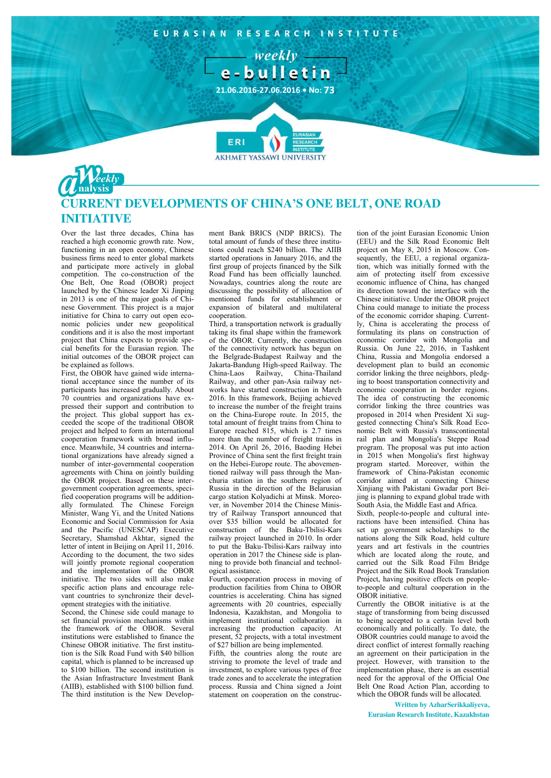

## **CURRENT DEVELOPMENTS OF CHINA'S ONE BELT, ONE ROAD INITIATIVE**

Over the last three decades, China has reached a high economic growth rate. Now, functioning in an open economy, Chinese business firms need to enter global markets and participate more actively in global competition. The co-construction of the One Belt, One Road (OBOR) project launched by the Chinese leader Xi Jinping in 2013 is one of the major goals of Chinese Government. This project is a major initiative for China to carry out open economic policies under new geopolitical conditions and it is also the most important project that China expects to provide special benefits for the Eurasian region. The initial outcomes of the OBOR project can be explained as follows.

First, the OBOR have gained wide international acceptance since the number of its participants has increased gradually. About 70 countries and organizations have expressed their support and contribution to the project. This global support has exceeded the scope of the traditional OBOR project and helped to form an international cooperation framework with broad influence. Meanwhile, 34 countries and international organizations have already signed a number of inter-governmental cooperation agreements with China on jointly building the OBOR project. Based on these intergovernment cooperation agreements, specified cooperation programs will be additionally formulated. The Chinese Foreign Minister, Wang Yi, and the United Nations Economic and Social Commission for Asia and the Pacific (UNESCAP) Executive Secretary, Shamshad Akhtar, signed the letter of intent in Beijing on April 11, 2016. According to the document, the two sides will jointly promote regional cooperation and the implementation of the OBOR initiative. The two sides will also make specific action plans and encourage relevant countries to synchronize their development strategies with the initiative.

Second, the Chinese side could manage to set financial provision mechanisms within the framework of the OBOR. Several institutions were established to finance the Chinese OBOR initiative. The first institution is the Silk Road Fund with \$40 billion capital, which is planned to be increased up to \$100 billion. The second institution is the Asian Infrastructure Investment Bank (AIIB), established with \$100 billion fund. The third institution is the New Development Bank BRICS (NDP BRICS). The total amount of funds of these three institutions could reach \$240 billion. The AIIB started operations in January 2016, and the first group of projects financed by the Silk Road Fund has been officially launched. Nowadays, countries along the route are discussing the possibility of allocation of mentioned funds for establishment or expansion of bilateral and multilateral cooperation.

Third, a transportation network is gradually taking its final shape within the framework of the OBOR. Currently, the construction of the connectivity network has begun on the Belgrade-Budapest Railway and the Jakarta-Bandung High-speed Railway. The China-Laos Railway, China-Thailand Railway, and other pan-Asia railway networks have started construction in March 2016. In this framework, Beijing achieved to increase the number of the freight trains on the China-Europe route. In 2015, the total amount of freight trains from China to Europe reached 815, which is 2.7 times more than the number of freight trains in 2014. On April 26, 2016, Baoding Hebei Province of China sent the first freight train on the Hebei-Europe route. The abovementioned railway will pass through the Manchuria station in the southern region of Russia in the direction of the Belarusian cargo station Kolyadichi at Minsk. Moreover, in November 2014 the Chinese Ministry of Railway Transport announced that over \$35 billion would be allocated for construction of the Baku-Tbilisi-Kars railway project launched in 2010. In order to put the Baku-Tbilisi-Kars railway into operation in 2017 the Chinese side is planning to provide both financial and technological assistance.

Fourth, cooperation process in moving of production facilities from China to OBOR countries is accelerating. China has signed agreements with 20 countries, especially Indonesia, Kazakhstan, and Mongolia to implement institutional collaboration in increasing the production capacity. At present, 52 projects, with a total investment of \$27 billion are being implemented.

Fifth, the countries along the route are striving to promote the level of trade and investment, to explore various types of free trade zones and to accelerate the integration process. Russia and China signed a Joint statement on cooperation on the construc-

tion of the joint Eurasian Economic Union (EEU) and the Silk Road Economic Belt project on May 8, 2015 in Moscow. Consequently, the EEU, a regional organization, which was initially formed with the aim of protecting itself from excessive economic influence of China, has changed its direction toward the interface with the Chinese initiative. Under the OBOR project China could manage to initiate the process of the economic corridor shaping. Currently, China is accelerating the process of formulating its plans on construction of economic corridor with Mongolia and Russia. On June 22, 2016, in Tashkent China, Russia and Mongolia endorsed a development plan to build an economic corridor linking the three neighbors, pledging to boost transportation connectivity and economic cooperation in border regions. The idea of constructing the economic corridor linking the three countries was proposed in 2014 when President Xi suggested connecting China's Silk Road Economic Belt with Russia's transcontinental rail plan and Mongolia's Steppe Road program. The proposal was put into action in 2015 when Mongolia's first highway program started. Moreover, within the framework of China-Pakistan economic corridor aimed at connecting Chinese Xinjiang with Pakistani Gwadar port Beijing is planning to expand global trade with South Asia, the Middle East and Africa.

Sixth, people-to-people and cultural interactions have been intensified. China has set up government scholarships to the nations along the Silk Road, held culture years and art festivals in the countries which are located along the route, and carried out the Silk Road Film Bridge Project and the Silk Road Book Translation Project, having positive effects on peopleto-people and cultural cooperation in the OBOR initiative.

Currently the OBOR initiative is at the stage of transforming from being discussed to being accepted to a certain level both economically and politically. To date, the OBOR countries could manage to avoid the direct conflict of interest formally reaching an agreement on their participation in the project. However, with transition to the implementation phase, there is an essential need for the approval of the Official One Belt One Road Action Plan, according to which the OBOR funds will be allocated.

**Written by AzharSerikkaliyeva, Eurasian Research Institute, Kazakhstan**